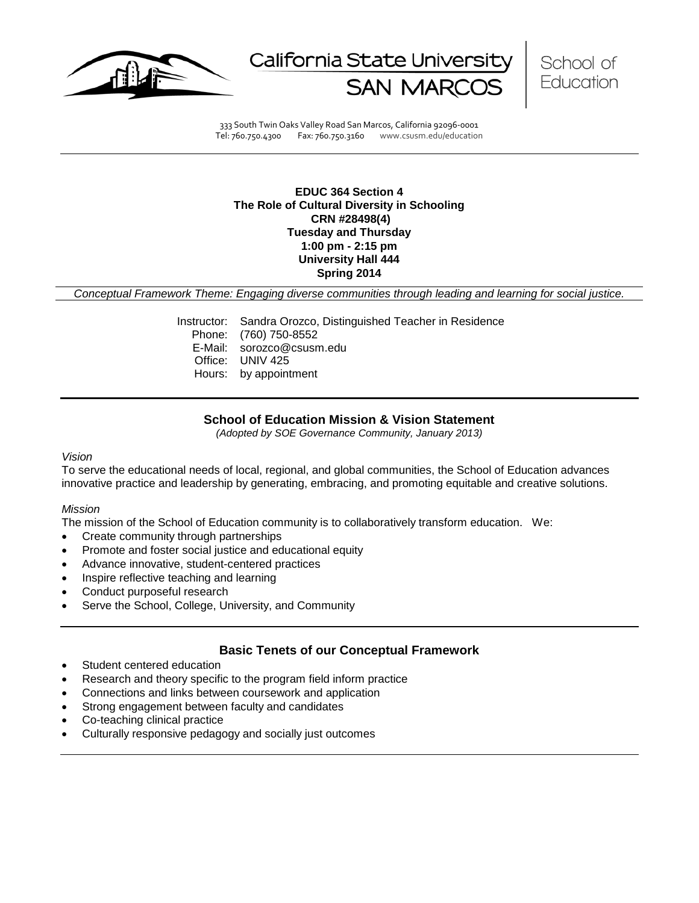

California State Universit



333 South Twin Oaks Valley Road San Marcos, California 92096-0001 Tel: 760.750.4300 Fax: 760.750.3160 www.csusm.edu/education

## **EDUC 364 Section 4 The Role of Cultural Diversity in Schooling CRN #28498(4) Tuesday and Thursday 1:00 pm - 2:15 pm University Hall 444 Spring 2014**

*Conceptual Framework Theme: Engaging diverse communities through leading and learning for social justice.*

Instructor: Sandra Orozco, Distinguished Teacher in Residence Phone: (760) 750-8552 E-Mail: sorozco@csusm.edu Office: UNIV 425 Hours: by appointment

## **School of Education Mission & Vision Statement**

*(Adopted by SOE Governance Community, January 2013)*

#### *Vision*

To serve the educational needs of local, regional, and global communities, the School of Education advances innovative practice and leadership by generating, embracing, and promoting equitable and creative solutions.

#### *Mission*

The mission of the School of Education community is to collaboratively transform education. We:

- Create community through partnerships
- Promote and foster social justice and educational equity
- Advance innovative, student-centered practices
- Inspire reflective teaching and learning
- Conduct purposeful research
- Serve the School, College, University, and Community

## **Basic Tenets of our Conceptual Framework**

- Student centered education
- Research and theory specific to the program field inform practice
- Connections and links between coursework and application
- Strong engagement between faculty and candidates
- Co-teaching clinical practice
- Culturally responsive pedagogy and socially just outcomes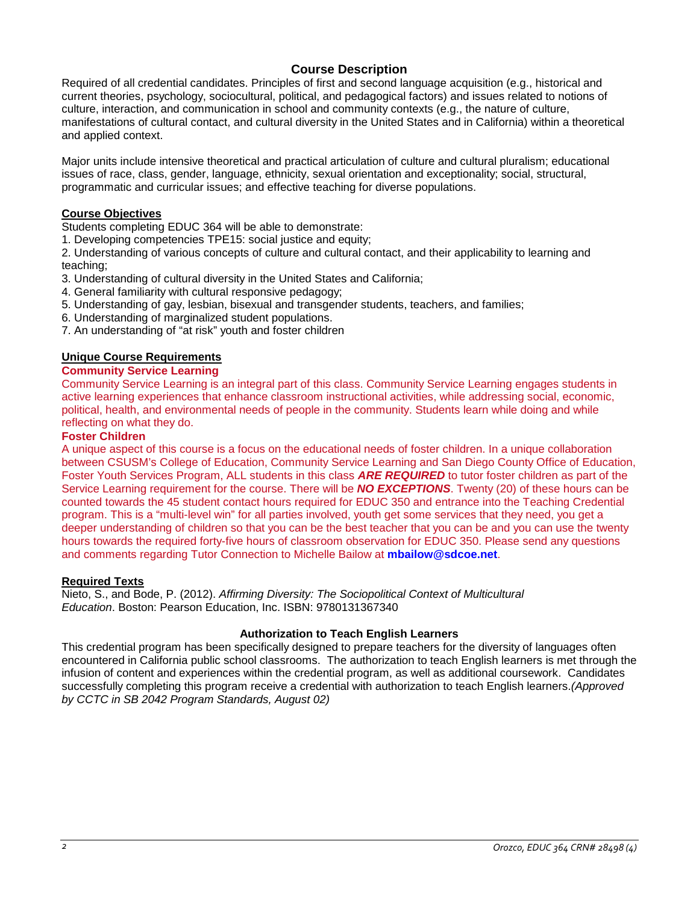# **Course Description**

Required of all credential candidates. Principles of first and second language acquisition (e.g., historical and current theories, psychology, sociocultural, political, and pedagogical factors) and issues related to notions of culture, interaction, and communication in school and community contexts (e.g., the nature of culture, manifestations of cultural contact, and cultural diversity in the United States and in California) within a theoretical and applied context.

Major units include intensive theoretical and practical articulation of culture and cultural pluralism; educational issues of race, class, gender, language, ethnicity, sexual orientation and exceptionality; social, structural, programmatic and curricular issues; and effective teaching for diverse populations.

# **Course Objectives**

Students completing EDUC 364 will be able to demonstrate:

1. Developing competencies TPE15: social justice and equity;

2. Understanding of various concepts of culture and cultural contact, and their applicability to learning and teaching;

- 3. Understanding of cultural diversity in the United States and California;
- 4. General familiarity with cultural responsive pedagogy;
- 5. Understanding of gay, lesbian, bisexual and transgender students, teachers, and families;
- 6. Understanding of marginalized student populations.
- 7. An understanding of "at risk" youth and foster children

## **Unique Course Requirements**

# **Community Service Learning**

Community Service Learning is an integral part of this class. Community Service Learning engages students in active learning experiences that enhance classroom instructional activities, while addressing social, economic, political, health, and environmental needs of people in the community. Students learn while doing and while reflecting on what they do.

## **Foster Children**

A unique aspect of this course is a focus on the educational needs of foster children. In a unique collaboration between CSUSM's College of Education, Community Service Learning and San Diego County Office of Education, Foster Youth Services Program, ALL students in this class *ARE REQUIRED* to tutor foster children as part of the Service Learning requirement for the course. There will be *NO EXCEPTIONS*. Twenty (20) of these hours can be counted towards the 45 student contact hours required for EDUC 350 and entrance into the Teaching Credential program. This is a "multi-level win" for all parties involved, youth get some services that they need, you get a deeper understanding of children so that you can be the best teacher that you can be and you can use the twenty hours towards the required forty-five hours of classroom observation for EDUC 350. Please send any questions and comments regarding Tutor Connection to Michelle Bailow at **mbailow@sdcoe.net**.

## **Required Texts**

Nieto, S., and Bode, P. (2012). *Affirming Diversity: The Sociopolitical Context of Multicultural Education*. Boston: Pearson Education, Inc. ISBN: 9780131367340

# **Authorization to Teach English Learners**

This credential program has been specifically designed to prepare teachers for the diversity of languages often encountered in California public school classrooms. The authorization to teach English learners is met through the infusion of content and experiences within the credential program, as well as additional coursework. Candidates successfully completing this program receive a credential with authorization to teach English learners.*(Approved by CCTC in SB 2042 Program Standards, August 02)*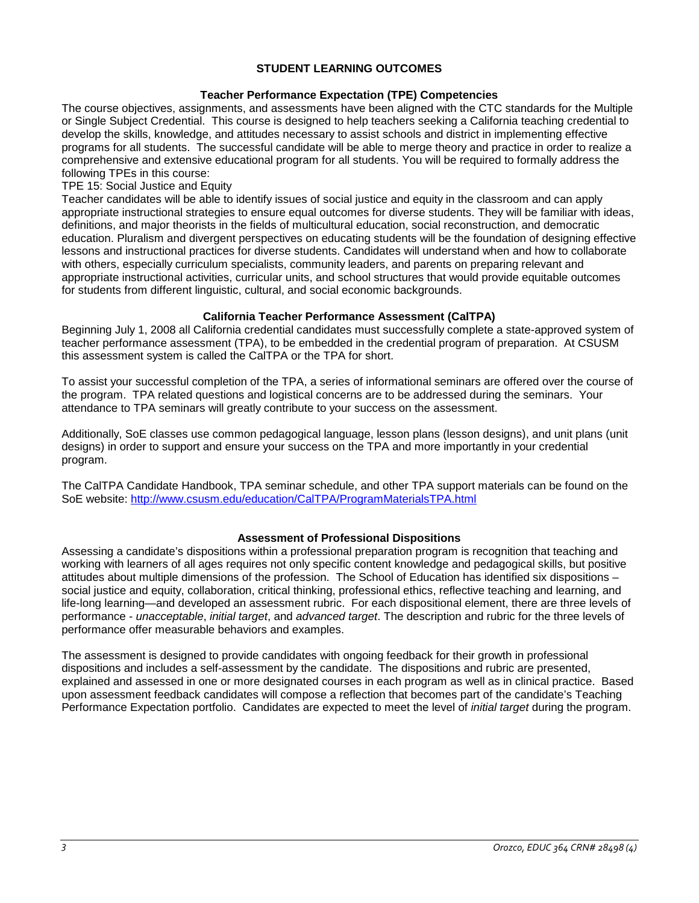# **STUDENT LEARNING OUTCOMES**

## **Teacher Performance Expectation (TPE) Competencies**

The course objectives, assignments, and assessments have been aligned with the CTC standards for the Multiple or Single Subject Credential. This course is designed to help teachers seeking a California teaching credential to develop the skills, knowledge, and attitudes necessary to assist schools and district in implementing effective programs for all students. The successful candidate will be able to merge theory and practice in order to realize a comprehensive and extensive educational program for all students. You will be required to formally address the following TPEs in this course:

## TPE 15: Social Justice and Equity

Teacher candidates will be able to identify issues of social justice and equity in the classroom and can apply appropriate instructional strategies to ensure equal outcomes for diverse students. They will be familiar with ideas, definitions, and major theorists in the fields of multicultural education, social reconstruction, and democratic education. Pluralism and divergent perspectives on educating students will be the foundation of designing effective lessons and instructional practices for diverse students. Candidates will understand when and how to collaborate with others, especially curriculum specialists, community leaders, and parents on preparing relevant and appropriate instructional activities, curricular units, and school structures that would provide equitable outcomes for students from different linguistic, cultural, and social economic backgrounds.

## **California Teacher Performance Assessment (CalTPA)**

Beginning July 1, 2008 all California credential candidates must successfully complete a state-approved system of teacher performance assessment (TPA), to be embedded in the credential program of preparation. At CSUSM this assessment system is called the CalTPA or the TPA for short.

To assist your successful completion of the TPA, a series of informational seminars are offered over the course of the program. TPA related questions and logistical concerns are to be addressed during the seminars. Your attendance to TPA seminars will greatly contribute to your success on the assessment.

Additionally, SoE classes use common pedagogical language, lesson plans (lesson designs), and unit plans (unit designs) in order to support and ensure your success on the TPA and more importantly in your credential program.

The CalTPA Candidate Handbook, TPA seminar schedule, and other TPA support materials can be found on the SoE website: <http://www.csusm.edu/education/CalTPA/ProgramMaterialsTPA.html>

## **Assessment of Professional Dispositions**

Assessing a candidate's dispositions within a professional preparation program is recognition that teaching and working with learners of all ages requires not only specific content knowledge and pedagogical skills, but positive attitudes about multiple dimensions of the profession. The School of Education has identified six dispositions – social justice and equity, collaboration, critical thinking, professional ethics, reflective teaching and learning, and life-long learning—and developed an assessment rubric. For each dispositional element, there are three levels of performance - *unacceptable*, *initial target*, and *advanced target*. The description and rubric for the three levels of performance offer measurable behaviors and examples.

The assessment is designed to provide candidates with ongoing feedback for their growth in professional dispositions and includes a self-assessment by the candidate. The dispositions and rubric are presented, explained and assessed in one or more designated courses in each program as well as in clinical practice. Based upon assessment feedback candidates will compose a reflection that becomes part of the candidate's Teaching Performance Expectation portfolio. Candidates are expected to meet the level of *initial target* during the program.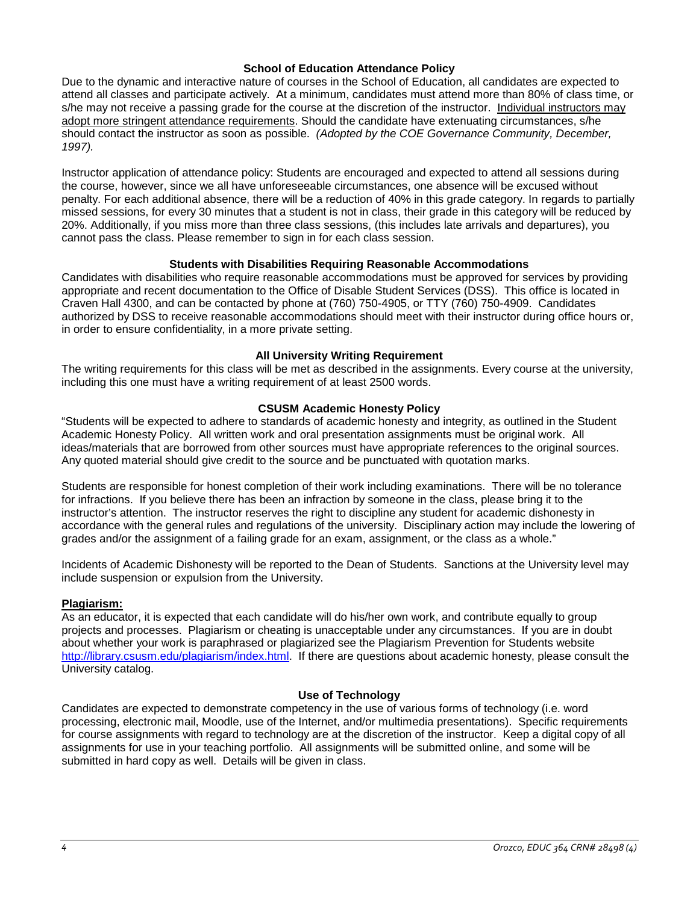## **School of Education Attendance Policy**

Due to the dynamic and interactive nature of courses in the School of Education, all candidates are expected to attend all classes and participate actively. At a minimum, candidates must attend more than 80% of class time, or s/he may not receive a passing grade for the course at the discretion of the instructor. Individual instructors may adopt more stringent attendance requirements. Should the candidate have extenuating circumstances, s/he should contact the instructor as soon as possible. *(Adopted by the COE Governance Community, December, 1997).*

Instructor application of attendance policy: Students are encouraged and expected to attend all sessions during the course, however, since we all have unforeseeable circumstances, one absence will be excused without penalty. For each additional absence, there will be a reduction of 40% in this grade category. In regards to partially missed sessions, for every 30 minutes that a student is not in class, their grade in this category will be reduced by 20%. Additionally, if you miss more than three class sessions, (this includes late arrivals and departures), you cannot pass the class. Please remember to sign in for each class session.

## **Students with Disabilities Requiring Reasonable Accommodations**

Candidates with disabilities who require reasonable accommodations must be approved for services by providing appropriate and recent documentation to the Office of Disable Student Services (DSS). This office is located in Craven Hall 4300, and can be contacted by phone at (760) 750-4905, or TTY (760) 750-4909. Candidates authorized by DSS to receive reasonable accommodations should meet with their instructor during office hours or, in order to ensure confidentiality, in a more private setting.

## **All University Writing Requirement**

The writing requirements for this class will be met as described in the assignments. Every course at the university, including this one must have a writing requirement of at least 2500 words.

## **CSUSM Academic Honesty Policy**

"Students will be expected to adhere to standards of academic honesty and integrity, as outlined in the Student Academic Honesty Policy. All written work and oral presentation assignments must be original work. All ideas/materials that are borrowed from other sources must have appropriate references to the original sources. Any quoted material should give credit to the source and be punctuated with quotation marks.

Students are responsible for honest completion of their work including examinations. There will be no tolerance for infractions. If you believe there has been an infraction by someone in the class, please bring it to the instructor's attention. The instructor reserves the right to discipline any student for academic dishonesty in accordance with the general rules and regulations of the university. Disciplinary action may include the lowering of grades and/or the assignment of a failing grade for an exam, assignment, or the class as a whole."

Incidents of Academic Dishonesty will be reported to the Dean of Students. Sanctions at the University level may include suspension or expulsion from the University.

## **Plagiarism:**

As an educator, it is expected that each candidate will do his/her own work, and contribute equally to group projects and processes. Plagiarism or cheating is unacceptable under any circumstances. If you are in doubt about whether your work is paraphrased or plagiarized see the Plagiarism Prevention for Students website [http://library.csusm.edu/plagiarism/index.html.](http://library.csusm.edu/plagiarism/index.html) If there are questions about academic honesty, please consult the University catalog.

## **Use of Technology**

Candidates are expected to demonstrate competency in the use of various forms of technology (i.e. word processing, electronic mail, Moodle, use of the Internet, and/or multimedia presentations). Specific requirements for course assignments with regard to technology are at the discretion of the instructor. Keep a digital copy of all assignments for use in your teaching portfolio. All assignments will be submitted online, and some will be submitted in hard copy as well. Details will be given in class.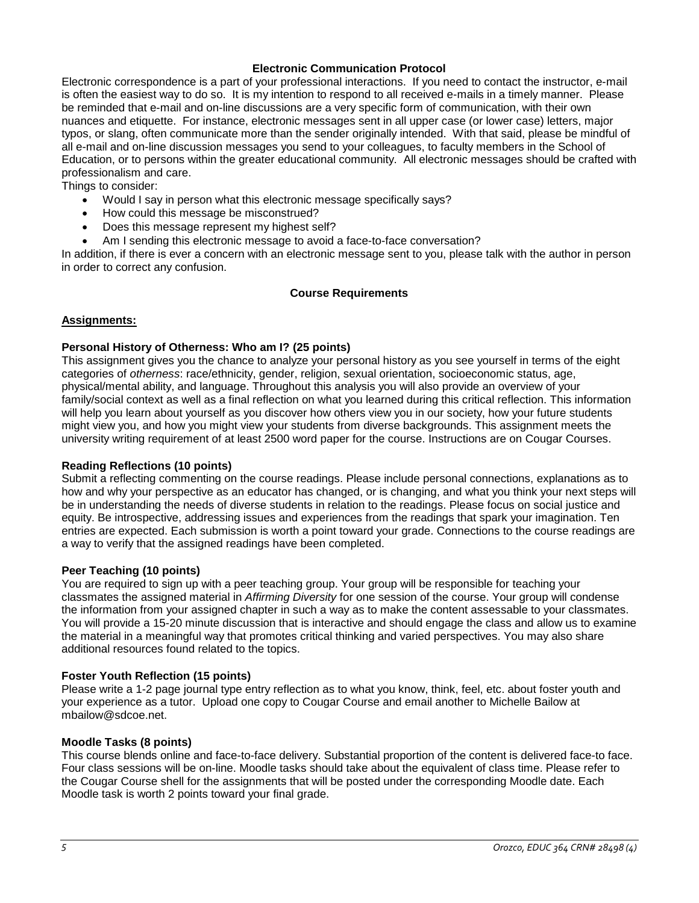## **Electronic Communication Protocol**

Electronic correspondence is a part of your professional interactions. If you need to contact the instructor, e-mail is often the easiest way to do so. It is my intention to respond to all received e-mails in a timely manner. Please be reminded that e-mail and on-line discussions are a very specific form of communication, with their own nuances and etiquette. For instance, electronic messages sent in all upper case (or lower case) letters, major typos, or slang, often communicate more than the sender originally intended. With that said, please be mindful of all e-mail and on-line discussion messages you send to your colleagues, to faculty members in the School of Education, or to persons within the greater educational community. All electronic messages should be crafted with professionalism and care.

Things to consider:

- Would I say in person what this electronic message specifically says?
- How could this message be misconstrued?
- Does this message represent my highest self?
- Am I sending this electronic message to avoid a face-to-face conversation?

In addition, if there is ever a concern with an electronic message sent to you, please talk with the author in person in order to correct any confusion.

## **Course Requirements**

## **Assignments:**

## **Personal History of Otherness: Who am I? (25 points)**

This assignment gives you the chance to analyze your personal history as you see yourself in terms of the eight categories of *otherness*: race/ethnicity, gender, religion, sexual orientation, socioeconomic status, age, physical/mental ability, and language. Throughout this analysis you will also provide an overview of your family/social context as well as a final reflection on what you learned during this critical reflection. This information will help you learn about yourself as you discover how others view you in our society, how your future students might view you, and how you might view your students from diverse backgrounds. This assignment meets the university writing requirement of at least 2500 word paper for the course. Instructions are on Cougar Courses.

## **Reading Reflections (10 points)**

Submit a reflecting commenting on the course readings. Please include personal connections, explanations as to how and why your perspective as an educator has changed, or is changing, and what you think your next steps will be in understanding the needs of diverse students in relation to the readings. Please focus on social justice and equity. Be introspective, addressing issues and experiences from the readings that spark your imagination. Ten entries are expected. Each submission is worth a point toward your grade. Connections to the course readings are a way to verify that the assigned readings have been completed.

#### **Peer Teaching (10 points)**

You are required to sign up with a peer teaching group. Your group will be responsible for teaching your classmates the assigned material in *Affirming Diversity* for one session of the course. Your group will condense the information from your assigned chapter in such a way as to make the content assessable to your classmates. You will provide a 15-20 minute discussion that is interactive and should engage the class and allow us to examine the material in a meaningful way that promotes critical thinking and varied perspectives. You may also share additional resources found related to the topics.

## **Foster Youth Reflection (15 points)**

Please write a 1-2 page journal type entry reflection as to what you know, think, feel, etc. about foster youth and your experience as a tutor. Upload one copy to Cougar Course and email another to Michelle Bailow at mbailow@sdcoe.net.

## **Moodle Tasks (8 points)**

This course blends online and face-to-face delivery. Substantial proportion of the content is delivered face-to face. Four class sessions will be on-line. Moodle tasks should take about the equivalent of class time. Please refer to the Cougar Course shell for the assignments that will be posted under the corresponding Moodle date. Each Moodle task is worth 2 points toward your final grade.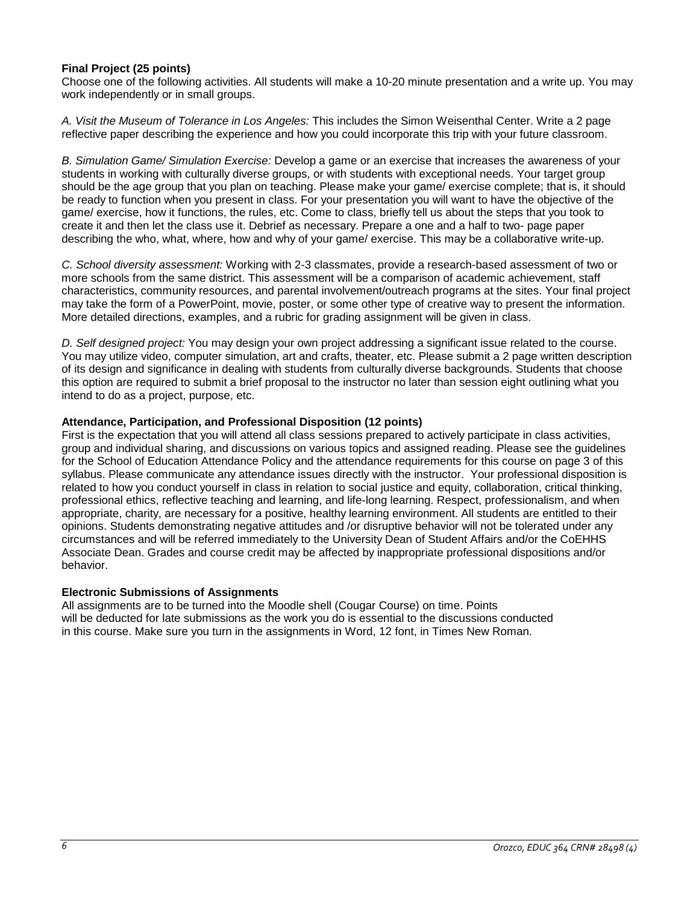# **Final Project (25 points)**

Choose one of the following activities. All students will make a 10-20 minute presentation and a write up. You may work independently or in small groups.

*A. Visit the Museum of Tolerance in Los Angeles:* This includes the Simon Weisenthal Center. Write a 2 page reflective paper describing the experience and how you could incorporate this trip with your future classroom.

*B. Simulation Game/ Simulation Exercise:* Develop a game or an exercise that increases the awareness of your students in working with culturally diverse groups, or with students with exceptional needs. Your target group should be the age group that you plan on teaching. Please make your game/ exercise complete; that is, it should be ready to function when you present in class. For your presentation you will want to have the objective of the game/ exercise, how it functions, the rules, etc. Come to class, briefly tell us about the steps that you took to create it and then let the class use it. Debrief as necessary. Prepare a one and a half to two- page paper describing the who, what, where, how and why of your game/ exercise. This may be a collaborative write-up.

*C. School diversity assessment:* Working with 2-3 classmates, provide a research-based assessment of two or more schools from the same district. This assessment will be a comparison of academic achievement, staff characteristics, community resources, and parental involvement/outreach programs at the sites. Your final project may take the form of a PowerPoint, movie, poster, or some other type of creative way to present the information. More detailed directions, examples, and a rubric for grading assignment will be given in class.

*D. Self designed project:* You may design your own project addressing a significant issue related to the course. You may utilize video, computer simulation, art and crafts, theater, etc. Please submit a 2 page written description of its design and significance in dealing with students from culturally diverse backgrounds. Students that choose this option are required to submit a brief proposal to the instructor no later than session eight outlining what you intend to do as a project, purpose, etc.

## **Attendance, Participation, and Professional Disposition (12 points)**

First is the expectation that you will attend all class sessions prepared to actively participate in class activities, group and individual sharing, and discussions on various topics and assigned reading. Please see the guidelines for the School of Education Attendance Policy and the attendance requirements for this course on page 3 of this syllabus. Please communicate any attendance issues directly with the instructor. Your professional disposition is related to how you conduct yourself in class in relation to social justice and equity, collaboration, critical thinking, professional ethics, reflective teaching and learning, and life-long learning. Respect, professionalism, and when appropriate, charity, are necessary for a positive, healthy learning environment. All students are entitled to their opinions. Students demonstrating negative attitudes and /or disruptive behavior will not be tolerated under any circumstances and will be referred immediately to the University Dean of Student Affairs and/or the CoEHHS Associate Dean. Grades and course credit may be affected by inappropriate professional dispositions and/or behavior.

## **Electronic Submissions of Assignments**

All assignments are to be turned into the Moodle shell (Cougar Course) on time. Points will be deducted for late submissions as the work you do is essential to the discussions conducted in this course. Make sure you turn in the assignments in Word, 12 font, in Times New Roman.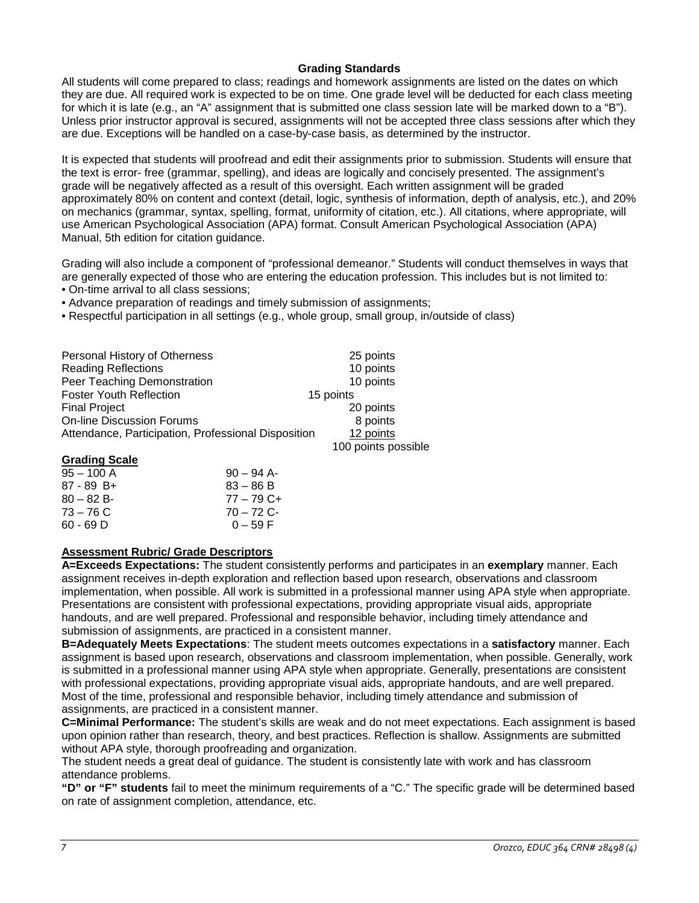# **Grading Standards**

All students will come prepared to class; readings and homework assignments are listed on the dates on which they are due. All required work is expected to be on time. One grade level will be deducted for each class meeting for which it is late (e.g., an "A" assignment that is submitted one class session late will be marked down to a "B"). Unless prior instructor approval is secured, assignments will not be accepted three class sessions after which they are due. Exceptions will be handled on a case-by-case basis, as determined by the instructor.

It is expected that students will proofread and edit their assignments prior to submission. Students will ensure that the text is error- free (grammar, spelling), and ideas are logically and concisely presented. The assignment's grade will be negatively affected as a result of this oversight. Each written assignment will be graded approximately 80% on content and context (detail, logic, synthesis of information, depth of analysis, etc.), and 20% on mechanics (grammar, syntax, spelling, format, uniformity of citation, etc.). All citations, where appropriate, will use American Psychological Association (APA) format. Consult American Psychological Association (APA) Manual, 5th edition for citation guidance.

Grading will also include a component of "professional demeanor." Students will conduct themselves in ways that are generally expected of those who are entering the education profession. This includes but is not limited to:

• On-time arrival to all class sessions;

• Advance preparation of readings and timely submission of assignments;

• Respectful participation in all settings (e.g., whole group, small group, in/outside of class)

| Personal History of Otherness                       | 25 points           |
|-----------------------------------------------------|---------------------|
| <b>Reading Reflections</b>                          | 10 points           |
| Peer Teaching Demonstration                         | 10 points           |
| <b>Foster Youth Reflection</b>                      | 15 points           |
| <b>Final Project</b>                                | 20 points           |
| <b>On-line Discussion Forums</b>                    | 8 points            |
| Attendance, Participation, Professional Disposition | 12 points           |
|                                                     | 100 points possible |

## **Grading Scale**

| $95 - 100$ A | $90 - 94$ A- |
|--------------|--------------|
| $87 - 89$ B+ | $83 - 86 B$  |
| $80 - 82 B$  | $77 - 79$ C+ |
| $73 - 76$ C  | $70 - 72$ C- |
| $60 - 69$ D  | $0 - 59$ F   |
|              |              |

# **Assessment Rubric/ Grade Descriptors**

**A=Exceeds Expectations:** The student consistently performs and participates in an **exemplary** manner. Each assignment receives in-depth exploration and reflection based upon research, observations and classroom implementation, when possible. All work is submitted in a professional manner using APA style when appropriate. Presentations are consistent with professional expectations, providing appropriate visual aids, appropriate handouts, and are well prepared. Professional and responsible behavior, including timely attendance and submission of assignments, are practiced in a consistent manner.

**B=Adequately Meets Expectations**: The student meets outcomes expectations in a **satisfactory** manner. Each assignment is based upon research, observations and classroom implementation, when possible. Generally, work is submitted in a professional manner using APA style when appropriate. Generally, presentations are consistent with professional expectations, providing appropriate visual aids, appropriate handouts, and are well prepared. Most of the time, professional and responsible behavior, including timely attendance and submission of assignments, are practiced in a consistent manner.

**C=Minimal Performance:** The student's skills are weak and do not meet expectations. Each assignment is based upon opinion rather than research, theory, and best practices. Reflection is shallow. Assignments are submitted without APA style, thorough proofreading and organization.

The student needs a great deal of guidance. The student is consistently late with work and has classroom attendance problems.

**"D" or "F" students** fail to meet the minimum requirements of a "C." The specific grade will be determined based on rate of assignment completion, attendance, etc.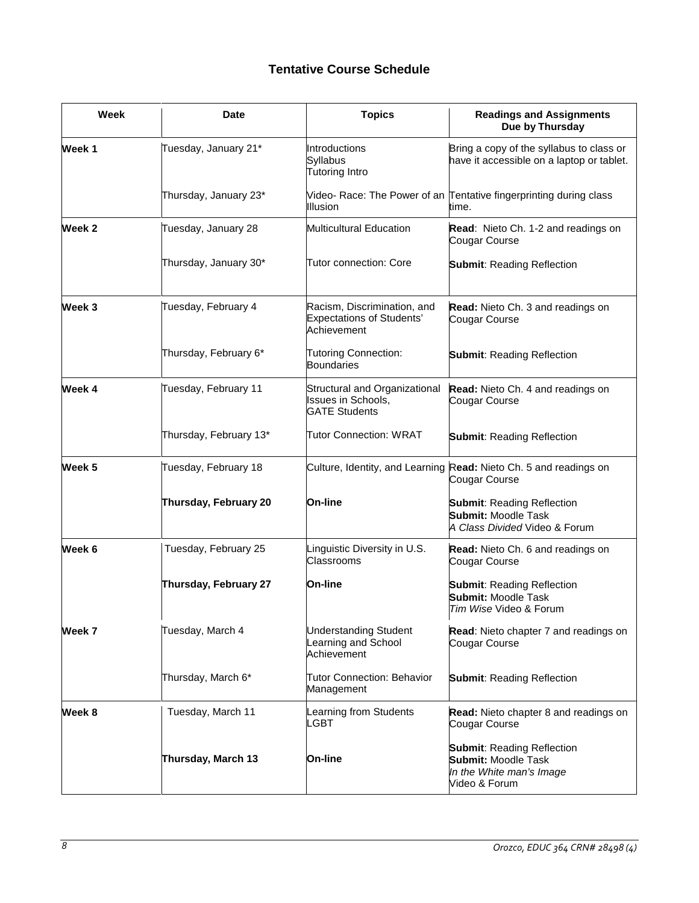# **Tentative Course Schedule**

| Week   | <b>Date</b>            | <b>Topics</b>                                                                  | <b>Readings and Assignments</b><br>Due by Thursday                                                           |
|--------|------------------------|--------------------------------------------------------------------------------|--------------------------------------------------------------------------------------------------------------|
| Week 1 | Tuesday, January 21*   | Introductions<br>Syllabus<br>Tutoring Intro                                    | Bring a copy of the syllabus to class or<br>have it accessible on a laptop or tablet.                        |
|        | Thursday, January 23*  | <b>Illusion</b>                                                                | Video- Race: The Power of an Tentative fingerprinting during class<br>time.                                  |
| Week 2 | Tuesday, January 28    | Multicultural Education                                                        | Read: Nieto Ch. 1-2 and readings on<br>Cougar Course                                                         |
|        | Thursday, January 30*  | <b>Tutor connection: Core</b>                                                  | <b>Submit: Reading Reflection</b>                                                                            |
| Week 3 | Tuesday, February 4    | Racism, Discrimination, and<br><b>Expectations of Students'</b><br>Achievement | Read: Nieto Ch. 3 and readings on<br>Cougar Course                                                           |
|        | Thursday, February 6*  | <b>Tutoring Connection:</b><br><b>Boundaries</b>                               | <b>Submit: Reading Reflection</b>                                                                            |
| Week 4 | Tuesday, February 11   | Structural and Organizational<br>Issues in Schools,<br><b>GATE Students</b>    | Read: Nieto Ch. 4 and readings on<br>Cougar Course                                                           |
|        | Thursday, February 13* | <b>Tutor Connection: WRAT</b>                                                  | <b>Submit: Reading Reflection</b>                                                                            |
| Week 5 | Tuesday, February 18   |                                                                                | Culture, Identity, and Learning Read: Nieto Ch. 5 and readings on<br>Cougar Course                           |
|        | Thursday, February 20  | <b>On-line</b>                                                                 | <b>Submit: Reading Reflection</b><br><b>Submit: Moodle Task</b><br>A Class Divided Video & Forum             |
| Week 6 | Tuesday, February 25   | Linguistic Diversity in U.S.<br>Classrooms                                     | Read: Nieto Ch. 6 and readings on<br>Cougar Course                                                           |
|        | Thursday, February 27  | On-line                                                                        | <b>Submit: Reading Reflection</b><br><b>Submit: Moodle Task</b><br>Tim Wise Video & Forum                    |
| Week 7 | Tuesday, March 4       | <b>Understanding Student</b><br>Learning and School<br>Achievement             | Read: Nieto chapter 7 and readings on<br>Cougar Course                                                       |
|        | Thursday, March 6*     | <b>Tutor Connection: Behavior</b><br>Management                                | <b>Submit: Reading Reflection</b>                                                                            |
| Week 8 | Tuesday, March 11      | Learning from Students<br>LGBT                                                 | <b>Read:</b> Nieto chapter 8 and readings on<br>Cougar Course                                                |
|        | Thursday, March 13     | On-line                                                                        | <b>Submit: Reading Reflection</b><br><b>Submit: Moodle Task</b><br>In the White man's Image<br>Video & Forum |